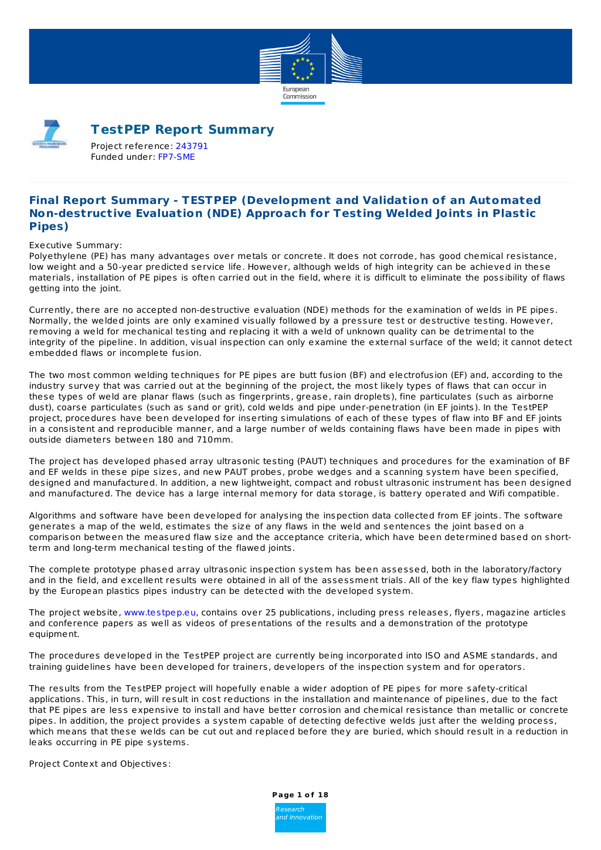



# **TestPEP Report Summary**

Project reference: [243791](http://cordis.europa.eu/project/rcn/94545_en.html) Funded under: [FP7-SME](http://cordis.europa.eu/programme/rcn/862_en.html)

# **Final Report Summary - TESTPEP (Development and Validation of an Automated Non-destructive Evaluation (NDE) Approach for Testing Welded Joints in Plastic Pipes)**

Executive Summary:

Polyethylene (PE) has many advantages over metals or concrete. It does not corrode, has good chemical resistance, low weight and a 50-year predicted service life. However, although welds of high integrity can be achieved in these materials, installation of PE pipes is often carried out in the field, where it is difficult to eliminate the possibility of flaws getting into the joint.

Currently, there are no accepted non-destructive evaluation (NDE) methods for the examination of welds in PE pipes. Normally, the welded joints are only examined visually followed by a pressure test or destructive testing. However, removing a weld for mechanical testing and replacing it with a weld of unknown quality can be detrimental to the integrity of the pipeline. In addition, visual inspection can only examine the external surface of the weld; it cannot detect embedded flaws or incomplete fusion.

The two most common welding techniques for PE pipes are butt fusion (BF) and electrofusion (EF) and, according to the industry survey that was carried out at the beginning of the project, the most likely types of flaws that can occur in these types of weld are planar flaws (such as fingerprints, grease, rain droplets), fine particulates (such as airborne dust), coarse particulates (such as sand or grit), cold welds and pipe under-penetration (in EF joints). In the TestPEP project, procedures have been developed for inserting simulations of each of these types of flaw into BF and EF joints in a consistent and reproducible manner, and a large number of welds containing flaws have been made in pipes with outside diameters between 180 and 710mm.

The project has developed phased array ultrasonic testing (PAUT) techniques and procedures for the examination of BF and EF welds in these pipe sizes, and new PAUT probes, probe wedges and a scanning system have been specified, designed and manufactured. In addition, a new lightweight, compact and robust ultrasonic instrument has been designed and manufactured. The device has a large internal memory for data storage, is battery operated and Wifi compatible.

Algorithms and software have been developed for analysing the inspection data collected from EF joints. The software generates a map of the weld, estimates the size of any flaws in the weld and sentences the joint based on a comparison between the measured flaw size and the acceptance criteria, which have been determined based on shortterm and long-term mechanical testing of the flawed joints.

The complete prototype phased array ultrasonic inspection system has been assessed, both in the laboratory/factory and in the field, and excellent results were obtained in all of the assessment trials. All of the key flaw types highlighted by the European plastics pipes industry can be detected with the developed system.

The project website, [www.testpep.eu](http://www.testpep.eu), contains over 25 publications, including press releases, flyers, magazine articles and conference papers as well as videos of presentations of the results and a demonstration of the prototype equipment.

The procedures developed in the TestPEP project are currently being incorporated into ISO and ASME standards, and training guidelines have been developed for trainers, developers of the inspection system and for operators.

The results from the TestPEP project will hopefully enable a wider adoption of PE pipes for more safety-critical applications. This, in turn, will result in cost reductions in the installation and maintenance of pipelines, due to the fact that PE pipes are less expensive to install and have better corrosion and chemical resistance than metallic or concrete pipes. In addition, the project provides a system capable of detecting defective welds just after the welding process, which means that these welds can be cut out and replaced before they are buried, which should result in a reduction in leaks occurring in PE pipe systems.

Project Context and Objectives:

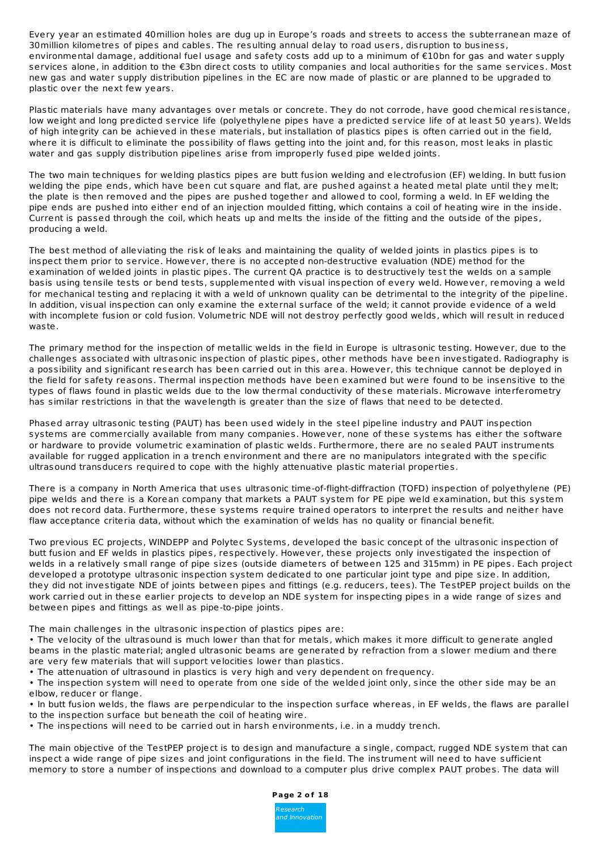Every year an estimated 40million holes are dug up in Europe's roads and streets to access the subterranean maze of 30million kilometres of pipes and cables. The resulting annual delay to road users, disruption to business, environmental damage, additional fuel usage and safety costs add up to a minimum of €10bn for gas and water supply services alone, in addition to the €3bn direct costs to utility companies and local authorities for the same services. Most new gas and water supply distribution pipelines in the EC are now made of plastic or are planned to be upgraded to plastic over the next few years.

Plastic materials have many advantages over metals or concrete. They do not corrode, have good chemical resistance, low weight and long predicted service life (polyethylene pipes have a predicted service life of at least 50 years). Welds of high integrity can be achieved in these materials, but installation of plastics pipes is often carried out in the field, where it is difficult to eliminate the possibility of flaws getting into the joint and, for this reason, most leaks in plastic water and gas supply distribution pipelines arise from improperly fused pipe welded joints.

The two main techniques for welding plastics pipes are butt fusion welding and electrofusion (EF) welding. In butt fusion welding the pipe ends, which have been cut square and flat, are pushed against a heated metal plate until they melt; the plate is then removed and the pipes are pushed together and allowed to cool, forming a weld. In EF welding the pipe ends are pushed into either end of an injection moulded fitting, which contains a coil of heating wire in the inside. Current is passed through the coil, which heats up and melts the inside of the fitting and the outside of the pipes, producing a weld.

The best method of alleviating the risk of leaks and maintaining the quality of welded joints in plastics pipes is to inspect them prior to service. However, there is no accepted non-destructive evaluation (NDE) method for the examination of welded joints in plastic pipes. The current QA practice is to destructively test the welds on a sample basis using tensile tests or bend tests, supplemented with visual inspection of every weld. However, removing a weld for mechanical testing and replacing it with a weld of unknown quality can be detrimental to the integrity of the pipeline. In addition, visual inspection can only examine the external surface of the weld; it cannot provide evidence of a weld with incomplete fusion or cold fusion. Volumetric NDE will not destroy perfectly good welds, which will result in reduced waste.

The primary method for the inspection of metallic welds in the field in Europe is ultrasonic testing. However, due to the challenges associated with ultrasonic inspection of plastic pipes, other methods have been investigated. Radiography is a possibility and significant research has been carried out in this area. However, this technique cannot be deployed in the field for safety reasons. Thermal inspection methods have been examined but were found to be insensitive to the types of flaws found in plastic welds due to the low thermal conductivity of these materials. Microwave interferometry has similar restrictions in that the wavelength is greater than the size of flaws that need to be detected.

Phased array ultrasonic testing (PAUT) has been used widely in the steel pipeline industry and PAUT inspection systems are commercially available from many companies. However, none of these systems has either the software or hardware to provide volumetric examination of plastic welds. Furthermore, there are no sealed PAUT instruments available for rugged application in a trench environment and there are no manipulators integrated with the specific ultrasound transducers required to cope with the highly attenuative plastic material properties.

There is a company in North America that uses ultrasonic time-of-flight-diffraction (TOFD) inspection of polyethylene (PE) pipe welds and there is a Korean company that markets a PAUT system for PE pipe weld examination, but this system does not record data. Furthermore, these systems require trained operators to interpret the results and neither have flaw acceptance criteria data, without which the examination of welds has no quality or financial benefit.

Two previous EC projects, WINDEPP and Polytec Systems, developed the basic concept of the ultrasonic inspection of butt fusion and EF welds in plastics pipes, respectively. However, these projects only investigated the inspection of welds in a relatively small range of pipe sizes (outside diameters of between 125 and 315mm) in PE pipes. Each project developed a prototype ultrasonic inspection system dedicated to one particular joint type and pipe size. In addition, they did not investigate NDE of joints between pipes and fittings (e.g. reducers, tees). The TestPEP project builds on the work carried out in these earlier projects to develop an NDE system for inspecting pipes in a wide range of sizes and between pipes and fittings as well as pipe-to-pipe joints.

The main challenges in the ultrasonic inspection of plastics pipes are:

• The velocity of the ultrasound is much lower than that for metals, which makes it more difficult to generate angled beams in the plastic material; angled ultrasonic beams are generated by refraction from a slower medium and there are very few materials that will support velocities lower than plastics.

• The attenuation of ultrasound in plastics is very high and very dependent on frequency.

• The inspection system will need to operate from one side of the welded joint only, since the other side may be an elbow, reducer or flange.

• In butt fusion welds, the flaws are perpendicular to the inspection surface whereas, in EF welds, the flaws are parallel to the inspection surface but beneath the coil of heating wire.

• The inspections will need to be carried out in harsh environments, i.e. in a muddy trench.

The main objective of the TestPEP project is to design and manufacture a single, compact, rugged NDE system that can inspect a wide range of pipe sizes and joint configurations in the field. The instrument will need to have sufficient memory to store a number of inspections and download to a computer plus drive complex PAUT probes. The data will

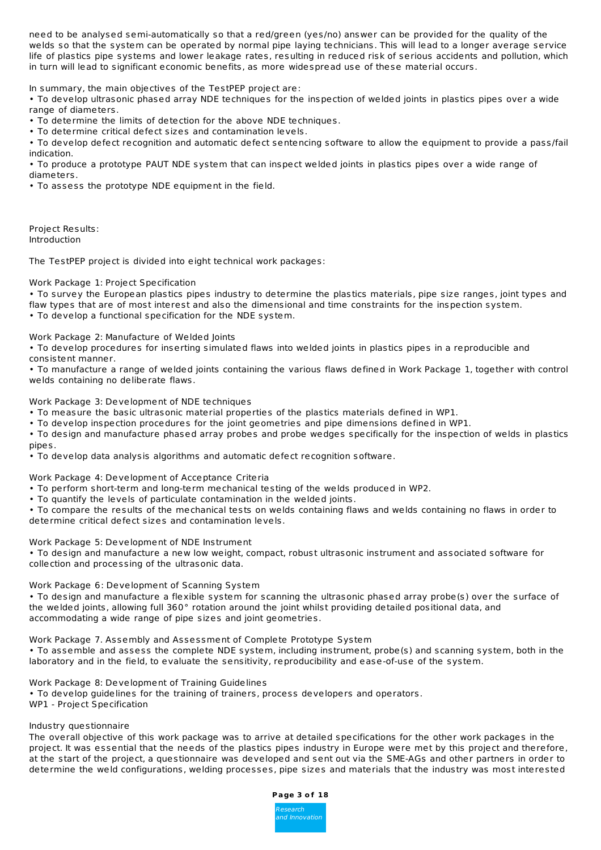need to be analysed semi-automatically so that a red/green (yes/no) answer can be provided for the quality of the welds so that the system can be operated by normal pipe laying technicians. This will lead to a longer average service life of plastics pipe systems and lower leakage rates, resulting in reduced risk of serious accidents and pollution, which in turn will lead to significant economic benefits, as more widespread use of these material occurs.

In summary, the main objectives of the TestPEP project are:

• To develop ultrasonic phased array NDE techniques for the inspection of welded joints in plastics pipes over a wide range of diameters.

• To determine the limits of detection for the above NDE techniques.

• To determine critical defect sizes and contamination levels.

• To develop defect recognition and automatic defect sentencing software to allow the equipment to provide a pass/fail indication.

• To produce a prototype PAUT NDE system that can inspect welded joints in plastics pipes over a wide range of diameters.

• To assess the prototype NDE equipment in the field.

Project Results: Introduction

The TestPEP project is divided into eight technical work packages:

Work Package 1: Project Specification

• To survey the European plastics pipes industry to determine the plastics materials, pipe size ranges, joint types and flaw types that are of most interest and also the dimensional and time constraints for the inspection system.

• To develop a functional specification for the NDE system.

Work Package 2: Manufacture of Welded Joints

• To develop procedures for inserting simulated flaws into welded joints in plastics pipes in a reproducible and consistent manner.

• To manufacture a range of welded joints containing the various flaws defined in Work Package 1, together with control welds containing no deliberate flaws.

Work Package 3: Development of NDE techniques

• To measure the basic ultrasonic material properties of the plastics materials defined in WP1.

• To develop inspection procedures for the joint geometries and pipe dimensions defined in WP1.

• To design and manufacture phased array probes and probe wedges specifically for the inspection of welds in plastics pipes.

• To develop data analysis algorithms and automatic defect recognition software.

Work Package 4: Development of Acceptance Criteria

- To perform short-term and long-term mechanical testing of the welds produced in WP2.
- To quantify the levels of particulate contamination in the welded joints.

• To compare the results of the mechanical tests on welds containing flaws and welds containing no flaws in order to determine critical defect sizes and contamination levels.

Work Package 5: Development of NDE Instrument

• To design and manufacture a new low weight, compact, robust ultrasonic instrument and associated software for collection and processing of the ultrasonic data.

Work Package 6: Development of Scanning System

• To design and manufacture a flexible system for scanning the ultrasonic phased array probe(s) over the surface of the welded joints, allowing full 360° rotation around the joint whilst providing detailed positional data, and accommodating a wide range of pipe sizes and joint geometries.

Work Package 7. Assembly and Assessment of Complete Prototype System

• To assemble and assess the complete NDE system, including instrument, probe(s) and scanning system, both in the laboratory and in the field, to evaluate the sensitivity, reproducibility and ease-of-use of the system.

Work Package 8: Development of Training Guidelines

• To develop guidelines for the training of trainers, process developers and operators. WP1 - Project Specification

Industry questionnaire

The overall objective of this work package was to arrive at detailed specifications for the other work packages in the project. It was essential that the needs of the plastics pipes industry in Europe were met by this project and therefore, at the start of the project, a questionnaire was developed and sent out via the SME-AGs and other partners in order to determine the weld configurations, welding processes, pipe sizes and materials that the industry was most interested

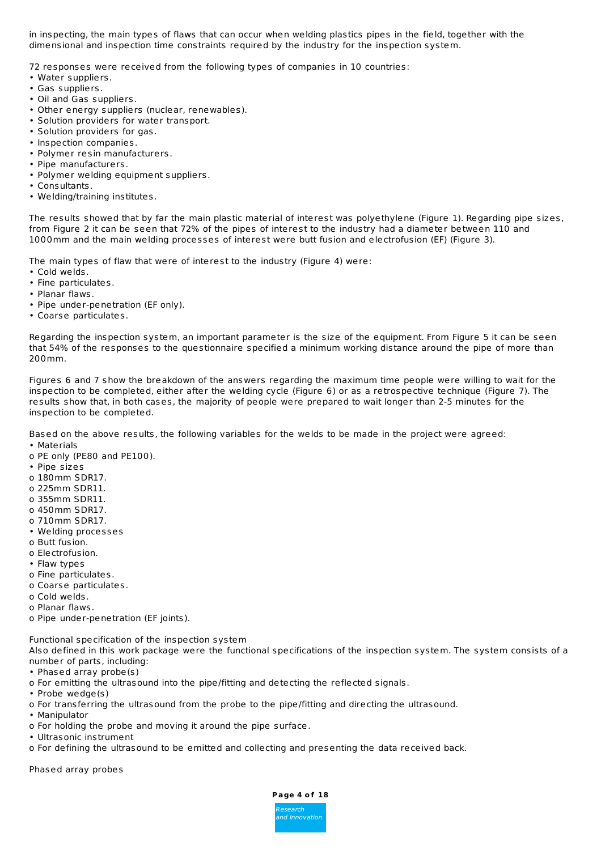in inspecting, the main types of flaws that can occur when welding plastics pipes in the field, together with the dimensional and inspection time constraints required by the industry for the inspection system.

72 responses were received from the following types of companies in 10 countries:

- Water suppliers.
- Gas suppliers.
- Oil and Gas suppliers.
- Other energy suppliers (nuclear, renewables).
- Solution providers for water transport.
- Solution providers for gas.
- Inspection companies.
- Polymer resin manufacturers.
- Pipe manufacturers.
- Polymer welding equipment suppliers.
- Consultants.
- Welding/training institutes.

The results showed that by far the main plastic material of interest was polyethylene (Figure 1). Regarding pipe sizes, from Figure 2 it can be seen that 72% of the pipes of interest to the industry had a diameter between 110 and 1000mm and the main welding processes of interest were butt fusion and electrofusion (EF) (Figure 3).

The main types of flaw that were of interest to the industry (Figure 4) were:

- Cold welds.
- Fine particulates.
- Planar flaws.
- Pipe under-penetration (EF only).
- Coarse particulates.

Regarding the inspection system, an important parameter is the size of the equipment. From Figure 5 it can be seen that 54% of the responses to the questionnaire specified a minimum working distance around the pipe of more than 200mm.

Figures 6 and 7 show the breakdown of the answers regarding the maximum time people were willing to wait for the inspection to be completed, either after the welding cycle (Figure 6) or as a retrospective technique (Figure 7). The results show that, in both cases, the majority of people were prepared to wait longer than 2-5 minutes for the inspection to be completed.

Based on the above results, the following variables for the welds to be made in the project were agreed:

- Materials
- o PE only (PE80 and PE100).
- Pipe sizes
- o 180mm SDR17.
- o 225mm SDR11.
- o 355mm SDR11.
- o 450mm SDR17.
- o 710mm SDR17.
- Welding processes
- o Butt fusion.
- o Electrofusion.
- Flaw types
- o Fine particulates.
- o Coarse particulates.
- o Cold welds.
- o Planar flaws.
- o Pipe under-penetration (EF joints).

Functional specification of the inspection system

Also defined in this work package were the functional specifications of the inspection system. The system consists of a number of parts, including:

- Phased array probe(s)
- o For emitting the ultrasound into the pipe/fitting and detecting the reflected signals.
- Probe wedge(s)
- o For transferring the ultrasound from the probe to the pipe/fitting and directing the ultrasound.
- Manipulator
- o For holding the probe and moving it around the pipe surface.
- Ultrasonic instrument
- o For defining the ultrasound to be emitted and collecting and presenting the data received back.

Phased array probes

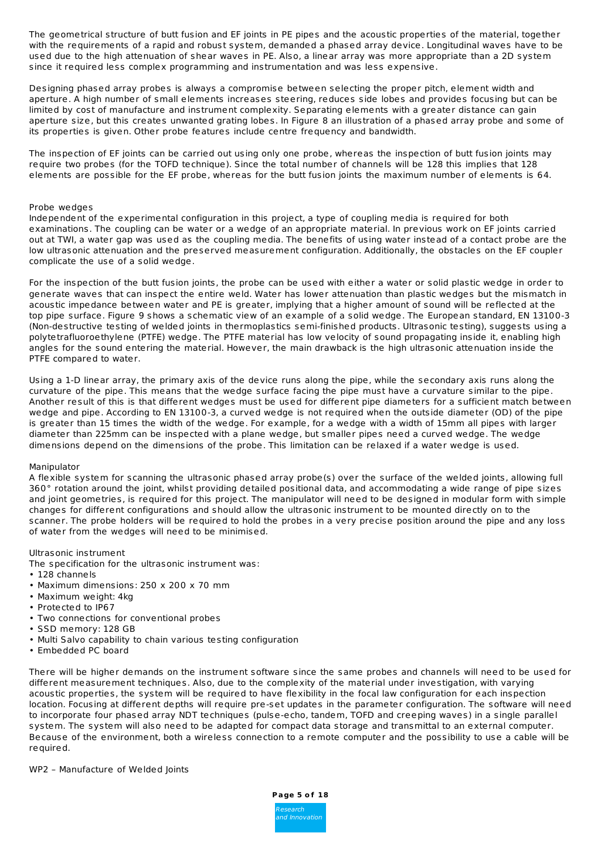The geometrical structure of butt fusion and EF joints in PE pipes and the acoustic properties of the material, together with the requirements of a rapid and robust system, demanded a phased array device. Longitudinal waves have to be used due to the high attenuation of shear waves in PE. Also, a linear array was more appropriate than a 2D system since it required less complex programming and instrumentation and was less expensive.

Designing phased array probes is always a compromise between selecting the proper pitch, element width and aperture. A high number of small elements increases steering, reduces side lobes and provides focusing but can be limited by cost of manufacture and instrument complexity. Separating elements with a greater distance can gain aperture size, but this creates unwanted grating lobes. In Figure 8 an illustration of a phased array probe and some of its properties is given. Other probe features include centre frequency and bandwidth.

The inspection of EF joints can be carried out using only one probe, whereas the inspection of butt fusion joints may require two probes (for the TOFD technique). Since the total number of channels will be 128 this implies that 128 elements are possible for the EF probe, whereas for the butt fusion joints the maximum number of elements is 64.

#### Probe wedges

Independent of the experimental configuration in this project, a type of coupling media is required for both examinations. The coupling can be water or a wedge of an appropriate material. In previous work on EF joints carried out at TWI, a water gap was used as the coupling media. The benefits of using water instead of a contact probe are the low ultrasonic attenuation and the preserved measurement configuration. Additionally, the obstacles on the EF coupler complicate the use of a solid wedge.

For the inspection of the butt fusion joints, the probe can be used with either a water or solid plastic wedge in order to generate waves that can inspect the entire weld. Water has lower attenuation than plastic wedges but the mismatch in acoustic impedance between water and PE is greater, implying that a higher amount of sound will be reflected at the top pipe surface. Figure 9 shows a schematic view of an example of a solid wedge. The European standard, EN 13100-3 (Non-destructive testing of welded joints in thermoplastics semi-finished products. Ultrasonic testing), suggests using a polytetrafluoroethylene (PTFE) wedge. The PTFE material has low velocity of sound propagating inside it, enabling high angles for the sound entering the material. However, the main drawback is the high ultrasonic attenuation inside the PTFE compared to water.

Using a 1-D linear array, the primary axis of the device runs along the pipe, while the secondary axis runs along the curvature of the pipe. This means that the wedge surface facing the pipe must have a curvature similar to the pipe. Another result of this is that different wedges must be used for different pipe diameters for a sufficient match between wedge and pipe. According to EN 13100-3, a curved wedge is not required when the outside diameter (OD) of the pipe is greater than 15 times the width of the wedge. For example, for a wedge with a width of 15mm all pipes with larger diameter than 225mm can be inspected with a plane wedge, but smaller pipes need a curved wedge. The wedge dimensions depend on the dimensions of the probe. This limitation can be relaxed if a water wedge is used.

#### Manipulator

A flexible system for scanning the ultrasonic phased array probe(s) over the surface of the welded joints, allowing full 360° rotation around the joint, whilst providing detailed positional data, and accommodating a wide range of pipe sizes and joint geometries, is required for this project. The manipulator will need to be designed in modular form with simple changes for different configurations and should allow the ultrasonic instrument to be mounted directly on to the scanner. The probe holders will be required to hold the probes in a very precise position around the pipe and any loss of water from the wedges will need to be minimised.

# Ultrasonic instrument

The specification for the ultrasonic instrument was:

- 128 channels
- Maximum dimensions: 250 x 200 x 70 mm
- Maximum weight: 4kg
- Protected to IP67
- Two connections for conventional probes
- SSD memory: 128 GB
- Multi Salvo capability to chain various testing configuration
- Embedded PC board

There will be higher demands on the instrument software since the same probes and channels will need to be used for different measurement techniques. Also, due to the complexity of the material under investigation, with varying acoustic properties, the system will be required to have flexibility in the focal law configuration for each inspection location. Focusing at different depths will require pre-set updates in the parameter configuration. The software will need to incorporate four phased array NDT techniques (pulse-echo, tandem, TOFD and creeping waves) in a single parallel system. The system will also need to be adapted for compact data storage and transmittal to an external computer. Because of the environment, both a wireless connection to a remote computer and the possibility to use a cable will be required.

#### WP2 – Manufacture of Welded Joints

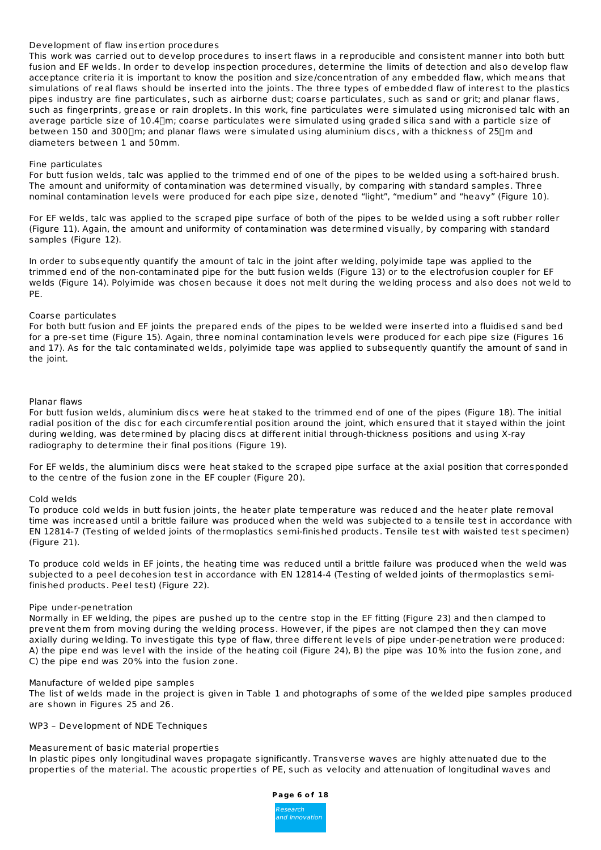# Development of flaw insertion procedures

This work was carried out to develop procedures to insert flaws in a reproducible and consistent manner into both butt fusion and EF welds. In order to develop inspection procedures, determine the limits of detection and also develop flaw acceptance criteria it is important to know the position and size/concentration of any embedded flaw, which means that simulations of real flaws should be inserted into the joints. The three types of embedded flaw of interest to the plastics pipes industry are fine particulates, such as airborne dust; coarse particulates, such as sand or grit; and planar flaws, such as fingerprints, grease or rain droplets. In this work, fine particulates were simulated using micronised talc with an average particle size of 10.4[]m; coarse particulates were simulated using graded silica sand with a particle size of between 150 and 300 [m; and planar flaws were simulated using aluminium discs, with a thickness of 25 [m and diameters between 1 and 50mm.

### Fine particulates

For butt fusion welds, talc was applied to the trimmed end of one of the pipes to be welded using a soft-haired brush. The amount and uniformity of contamination was determined visually, by comparing with standard samples. Three nominal contamination levels were produced for each pipe size, denoted "light", "medium" and "heavy" (Figure 10).

For EF welds, talc was applied to the scraped pipe surface of both of the pipes to be welded using a soft rubber roller (Figure 11). Again, the amount and uniformity of contamination was determined visually, by comparing with standard samples (Figure 12).

In order to subsequently quantify the amount of talc in the joint after welding, polyimide tape was applied to the trimmed end of the non-contaminated pipe for the butt fusion welds (Figure 13) or to the electrofusion coupler for EF welds (Figure 14). Polyimide was chosen because it does not melt during the welding process and also does not weld to PE.

# Coarse particulates

For both butt fusion and EF joints the prepared ends of the pipes to be welded were inserted into a fluidised sand bed for a pre-set time (Figure 15). Again, three nominal contamination levels were produced for each pipe size (Figures 16 and 17). As for the talc contaminated welds, polyimide tape was applied to subsequently quantify the amount of sand in the joint.

#### Planar flaws

For butt fusion welds, aluminium discs were heat staked to the trimmed end of one of the pipes (Figure 18). The initial radial position of the disc for each circumferential position around the joint, which ensured that it stayed within the joint during welding, was determined by placing discs at different initial through-thickness positions and using X-ray radiography to determine their final positions (Figure 19).

For EF welds, the aluminium discs were heat staked to the scraped pipe surface at the axial position that corresponded to the centre of the fusion zone in the EF coupler (Figure 20).

#### Cold welds

To produce cold welds in butt fusion joints, the heater plate temperature was reduced and the heater plate removal time was increased until a brittle failure was produced when the weld was subjected to a tensile test in accordance with EN 12814-7 (Testing of welded joints of thermoplastics semi-finished products. Tensile test with waisted test specimen) (Figure 21).

To produce cold welds in EF joints, the heating time was reduced until a brittle failure was produced when the weld was subjected to a peel decohesion test in accordance with EN 12814-4 (Testing of welded joints of thermoplastics semifinished products. Peel test) (Figure 22).

#### Pipe under-penetration

Normally in EF welding, the pipes are pushed up to the centre stop in the EF fitting (Figure 23) and then clamped to prevent them from moving during the welding process. However, if the pipes are not clamped then they can move axially during welding. To investigate this type of flaw, three different levels of pipe under-penetration were produced: A) the pipe end was level with the inside of the heating coil (Figure 24), B) the pipe was 10% into the fusion zone, and C) the pipe end was 20% into the fusion zone.

# Manufacture of welded pipe samples

The list of welds made in the project is given in Table 1 and photographs of some of the welded pipe samples produced are shown in Figures 25 and 26.

# WP3 – Development of NDE Techniques

# Measurement of basic material properties

In plastic pipes only longitudinal waves propagate significantly. Transverse waves are highly attenuated due to the properties of the material. The acoustic properties of PE, such as velocity and attenuation of longitudinal waves and

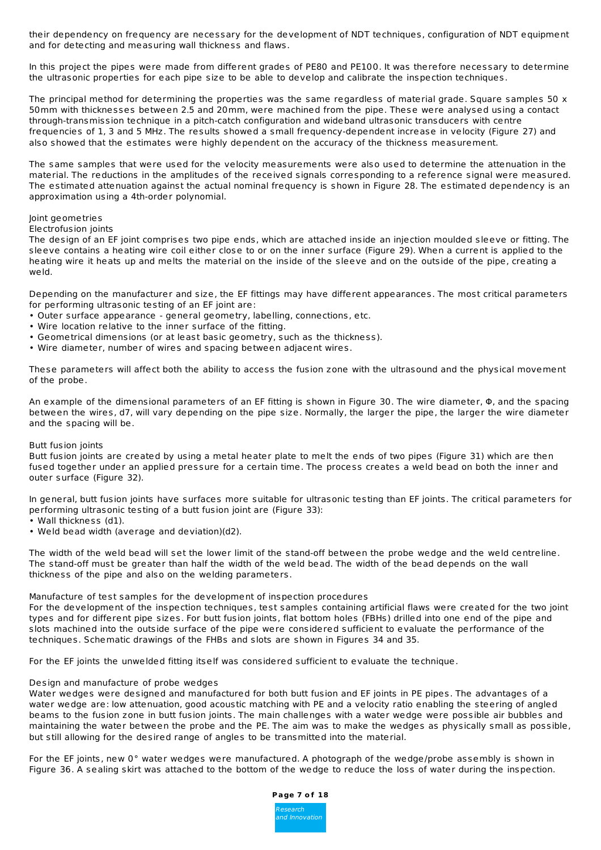their dependency on frequency are necessary for the development of NDT techniques, configuration of NDT equipment and for detecting and measuring wall thickness and flaws.

In this project the pipes were made from different grades of PE80 and PE100. It was therefore necessary to determine the ultrasonic properties for each pipe size to be able to develop and calibrate the inspection techniques.

The principal method for determining the properties was the same regardless of material grade. Square samples 50  $\times$ 50mm with thicknesses between 2.5 and 20mm, were machined from the pipe. These were analysed using a contact through-transmission technique in a pitch-catch configuration and wideband ultrasonic transducers with centre frequencies of 1, 3 and 5 MHz. The results showed a small frequency-dependent increase in velocity (Figure 27) and also showed that the estimates were highly dependent on the accuracy of the thickness measurement.

The same samples that were used for the velocity measurements were also used to determine the attenuation in the material. The reductions in the amplitudes of the received signals corresponding to a reference signal were measured. The estimated attenuation against the actual nominal frequency is shown in Figure 28. The estimated dependency is an approximation using a 4th-order polynomial.

# Joint geometries

## Electrofusion joints

The design of an EF joint comprises two pipe ends, which are attached inside an injection moulded sleeve or fitting. The sleeve contains a heating wire coil either close to or on the inner surface (Figure 29). When a current is applied to the heating wire it heats up and melts the material on the inside of the sleeve and on the outside of the pipe, creating a weld.

Depending on the manufacturer and size, the EF fittings may have different appearances. The most critical parameters for performing ultrasonic testing of an EF joint are:

- Outer surface appearance general geometry, labelling, connections, etc.
- Wire location relative to the inner surface of the fitting.
- Geometrical dimensions (or at least basic geometry, such as the thickness).
- Wire diameter, number of wires and spacing between adjacent wires.

These parameters will affect both the ability to access the fusion zone with the ultrasound and the physical movement of the probe.

An example of the dimensional parameters of an EF fitting is shown in Figure 30. The wire diameter, Φ, and the spacing between the wires, d7, will vary depending on the pipe size. Normally, the larger the pipe, the larger the wire diameter and the spacing will be.

# Butt fusion joints

Butt fusion joints are created by using a metal heater plate to melt the ends of two pipes (Figure 31) which are then fused together under an applied pressure for a certain time. The process creates a weld bead on both the inner and outer surface (Figure 32).

In general, butt fusion joints have surfaces more suitable for ultrasonic testing than EF joints. The critical parameters for performing ultrasonic testing of a butt fusion joint are (Figure 33):

- Wall thickness (d1).
- Weld bead width (average and deviation)(d2).

The width of the weld bead will set the lower limit of the stand-off between the probe wedge and the weld centreline. The stand-off must be greater than half the width of the weld bead. The width of the bead depends on the wall thickness of the pipe and also on the welding parameters.

# Manufacture of test samples for the development of inspection procedures

For the development of the inspection techniques, test samples containing artificial flaws were created for the two joint types and for different pipe sizes. For butt fusion joints, flat bottom holes (FBHs) drilled into one end of the pipe and slots machined into the outside surface of the pipe were considered sufficient to evaluate the performance of the techniques. Schematic drawings of the FHBs and slots are shown in Figures 34 and 35.

For the EF joints the unwelded fitting itself was considered sufficient to evaluate the technique.

# Design and manufacture of probe wedges

Water wedges were designed and manufactured for both butt fusion and EF joints in PE pipes. The advantages of a water wedge are: low attenuation, good acoustic matching with PE and a velocity ratio enabling the steering of angled beams to the fusion zone in butt fusion joints. The main challenges with a water wedge were possible air bubbles and maintaining the water between the probe and the PE. The aim was to make the wedges as physically small as possible, but still allowing for the desired range of angles to be transmitted into the material.

For the EF joints, new 0° water wedges were manufactured. A photograph of the wedge/probe assembly is shown in Figure 36. A sealing skirt was attached to the bottom of the wedge to reduce the loss of water during the inspection.

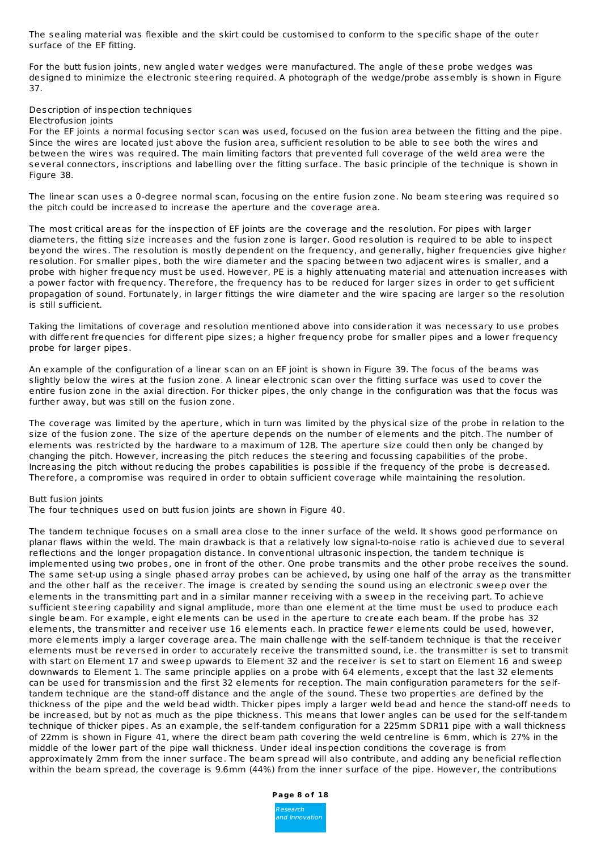The sealing material was flexible and the skirt could be customised to conform to the specific shape of the outer surface of the EF fitting.

For the butt fusion joints, new angled water wedges were manufactured. The angle of these probe wedges was designed to minimize the electronic steering required. A photograph of the wedge/probe assembly is shown in Figure 37.

# Description of inspection techniques

Electrofusion joints

For the EF joints a normal focusing sector scan was used, focused on the fusion area between the fitting and the pipe. Since the wires are located just above the fusion area, sufficient resolution to be able to see both the wires and between the wires was required. The main limiting factors that prevented full coverage of the weld area were the several connectors, inscriptions and labelling over the fitting surface. The basic principle of the technique is shown in Figure 38.

The linear scan uses a 0-degree normal scan, focusing on the entire fusion zone. No beam steering was required so the pitch could be increased to increase the aperture and the coverage area.

The most critical areas for the inspection of EF joints are the coverage and the resolution. For pipes with larger diameters, the fitting size increases and the fusion zone is larger. Good resolution is required to be able to inspect beyond the wires. The resolution is mostly dependent on the frequency, and generally, higher frequencies give higher resolution. For smaller pipes, both the wire diameter and the spacing between two adjacent wires is smaller, and a probe with higher frequency must be used. However, PE is a highly attenuating material and attenuation increases with a power factor with frequency. Therefore, the frequency has to be reduced for larger sizes in order to get sufficient propagation of sound. Fortunately, in larger fittings the wire diameter and the wire spacing are larger so the resolution is still sufficient.

Taking the limitations of coverage and resolution mentioned above into consideration it was necessary to use probes with different frequencies for different pipe sizes; a higher frequency probe for smaller pipes and a lower frequency probe for larger pipes.

An example of the configuration of a linear scan on an EF joint is shown in Figure 39. The focus of the beams was slightly below the wires at the fusion zone. A linear electronic scan over the fitting surface was used to cover the entire fusion zone in the axial direction. For thicker pipes, the only change in the configuration was that the focus was further away, but was still on the fusion zone.

The coverage was limited by the aperture, which in turn was limited by the physical size of the probe in relation to the size of the fusion zone. The size of the aperture depends on the number of elements and the pitch. The number of elements was restricted by the hardware to a maximum of 128. The aperture size could then only be changed by changing the pitch. However, increasing the pitch reduces the steering and focussing capabilities of the probe. Increasing the pitch without reducing the probes capabilities is possible if the frequency of the probe is decreased. Therefore, a compromise was required in order to obtain sufficient coverage while maintaining the resolution.

#### Butt fusion joints

The four techniques used on butt fusion joints are shown in Figure 40.

The tandem technique focuses on a small area close to the inner surface of the weld. It shows good performance on planar flaws within the weld. The main drawback is that a relatively low signal-to-noise ratio is achieved due to several reflections and the longer propagation distance. In conventional ultrasonic inspection, the tandem technique is implemented using two probes, one in front of the other. One probe transmits and the other probe receives the sound. The same set-up using a single phased array probes can be achieved, by using one half of the array as the transmitter and the other half as the receiver. The image is created by sending the sound using an electronic sweep over the elements in the transmitting part and in a similar manner receiving with a sweep in the receiving part. To achieve sufficient steering capability and signal amplitude, more than one element at the time must be used to produce each single beam. For example, eight elements can be used in the aperture to create each beam. If the probe has 32 elements, the transmitter and receiver use 16 elements each. In practice fewer elements could be used, however, more elements imply a larger coverage area. The main challenge with the self-tandem technique is that the receiver elements must be reversed in order to accurately receive the transmitted sound, i.e. the transmitter is set to transmit with start on Element 17 and sweep upwards to Element 32 and the receiver is set to start on Element 16 and sweep downwards to Element 1. The same principle applies on a probe with 64 elements, except that the last 32 elements can be used for transmission and the first 32 elements for reception. The main configuration parameters for the selftandem technique are the stand-off distance and the angle of the sound. These two properties are defined by the thickness of the pipe and the weld bead width. Thicker pipes imply a larger weld bead and hence the stand-off needs to be increased, but by not as much as the pipe thickness. This means that lower angles can be used for the self-tandem technique of thicker pipes. As an example, the self-tandem configuration for a 225mm SDR11 pipe with a wall thickness of 22mm is shown in Figure 41, where the direct beam path covering the weld centreline is 6mm, which is 27% in the middle of the lower part of the pipe wall thickness. Under ideal inspection conditions the coverage is from approximately 2mm from the inner surface. The beam spread will also contribute, and adding any beneficial reflection within the beam spread, the coverage is 9.6mm (44%) from the inner surface of the pipe. However, the contributions

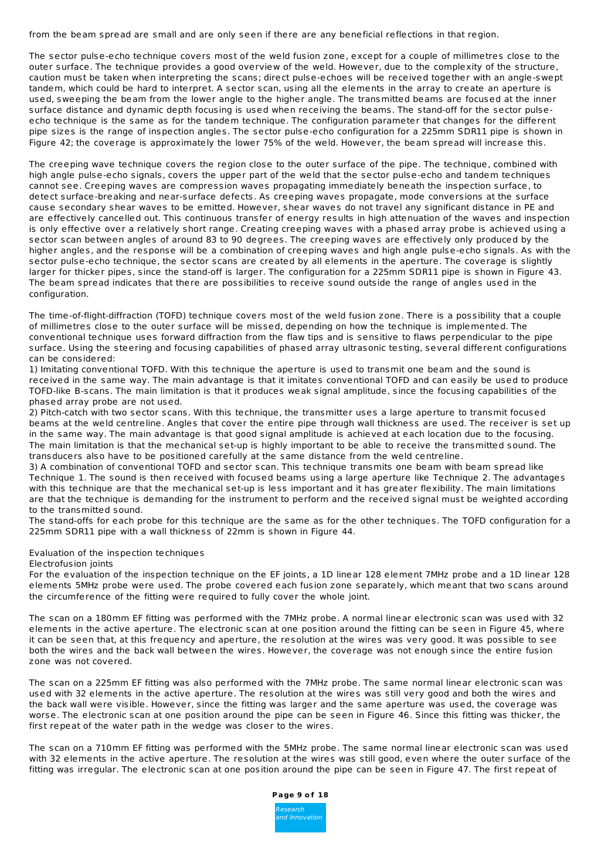from the beam spread are small and are only seen if there are any beneficial reflections in that region.

The sector pulse-echo technique covers most of the weld fusion zone, except for a couple of millimetres close to the outer surface. The technique provides a good overview of the weld. However, due to the complexity of the structure, caution must be taken when interpreting the scans; direct pulse-echoes will be received together with an angle-swept tandem, which could be hard to interpret. A sector scan, using all the elements in the array to create an aperture is used, sweeping the beam from the lower angle to the higher angle. The transmitted beams are focused at the inner surface distance and dynamic depth focusing is used when receiving the beams. The stand-off for the sector pulseecho technique is the same as for the tandem technique. The configuration parameter that changes for the different pipe sizes is the range of inspection angles. The sector pulse-echo configuration for a 225mm SDR11 pipe is shown in Figure 42; the coverage is approximately the lower 75% of the weld. However, the beam spread will increase this.

The creeping wave technique covers the region close to the outer surface of the pipe. The technique, combined with high angle pulse-echo signals, covers the upper part of the weld that the sector pulse-echo and tandem techniques cannot see. Creeping waves are compression waves propagating immediately beneath the inspection surface, to detect surface-breaking and near-surface defects. As creeping waves propagate, mode conversions at the surface cause secondary shear waves to be emitted. However, shear waves do not travel any significant distance in PE and are effectively cancelled out. This continuous transfer of energy results in high attenuation of the waves and inspection is only effective over a relatively short range. Creating creeping waves with a phased array probe is achieved using a sector scan between angles of around 83 to 90 degrees. The creeping waves are effectively only produced by the higher angles, and the response will be a combination of creeping waves and high angle pulse-echo signals. As with the sector pulse-echo technique, the sector scans are created by all elements in the aperture. The coverage is slightly larger for thicker pipes, since the stand-off is larger. The configuration for a 225mm SDR11 pipe is shown in Figure 43. The beam spread indicates that there are possibilities to receive sound outside the range of angles used in the configuration.

The time-of-flight-diffraction (TOFD) technique covers most of the weld fusion zone. There is a possibility that a couple of millimetres close to the outer surface will be missed, depending on how the technique is implemented. The conventional technique uses forward diffraction from the flaw tips and is sensitive to flaws perpendicular to the pipe surface. Using the steering and focusing capabilities of phased array ultrasonic testing, several different configurations can be considered:

1) Imitating conventional TOFD. With this technique the aperture is used to transmit one beam and the sound is received in the same way. The main advantage is that it imitates conventional TOFD and can easily be used to produce TOFD-like B-scans. The main limitation is that it produces weak signal amplitude, since the focusing capabilities of the phased array probe are not used.

2) Pitch-catch with two sector scans. With this technique, the transmitter uses a large aperture to transmit focused beams at the weld centreline. Angles that cover the entire pipe through wall thickness are used. The receiver is set up in the same way. The main advantage is that good signal amplitude is achieved at each location due to the focusing. The main limitation is that the mechanical set-up is highly important to be able to receive the transmitted sound. The transducers also have to be positioned carefully at the same distance from the weld centreline.

3) A combination of conventional TOFD and sector scan. This technique transmits one beam with beam spread like Technique 1. The sound is then received with focused beams using a large aperture like Technique 2. The advantages with this technique are that the mechanical set-up is less important and it has greater flexibility. The main limitations are that the technique is demanding for the instrument to perform and the received signal must be weighted according to the transmitted sound.

The stand-offs for each probe for this technique are the same as for the other techniques. The TOFD configuration for a 225mm SDR11 pipe with a wall thickness of 22mm is shown in Figure 44.

# Evaluation of the inspection techniques

# Electrofusion joints

For the evaluation of the inspection technique on the EF joints, a 1D linear 128 element 7MHz probe and a 1D linear 128 elements 5MHz probe were used. The probe covered each fusion zone separately, which meant that two scans around the circumference of the fitting were required to fully cover the whole joint.

The scan on a 180mm EF fitting was performed with the 7MHz probe. A normal linear electronic scan was used with 32 elements in the active aperture. The electronic scan at one position around the fitting can be seen in Figure 45, where it can be seen that, at this frequency and aperture, the resolution at the wires was very good. It was possible to see both the wires and the back wall between the wires. However, the coverage was not enough since the entire fusion zone was not covered.

The scan on a 225mm EF fitting was also performed with the 7MHz probe. The same normal linear electronic scan was used with 32 elements in the active aperture. The resolution at the wires was still very good and both the wires and the back wall were visible. However, since the fitting was larger and the same aperture was used, the coverage was worse. The electronic scan at one position around the pipe can be seen in Figure 46. Since this fitting was thicker, the first repeat of the water path in the wedge was closer to the wires.

The scan on a 710mm EF fitting was performed with the 5MHz probe. The same normal linear electronic scan was used with 32 elements in the active aperture. The resolution at the wires was still good, even where the outer surface of the fitting was irregular. The electronic scan at one position around the pipe can be seen in Figure 47. The first repeat of

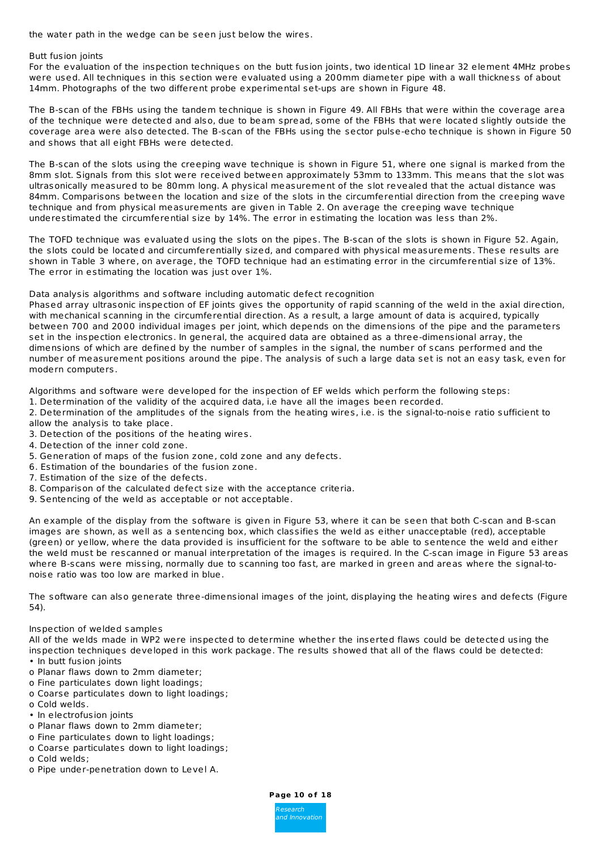the water path in the wedge can be seen just below the wires.

### Butt fusion joints

For the evaluation of the inspection techniques on the butt fusion joints, two identical 1D linear 32 element 4MHz probes were used. All techniques in this section were evaluated using a 200mm diameter pipe with a wall thickness of about 14mm. Photographs of the two different probe experimental set-ups are shown in Figure 48.

The B-scan of the FBHs using the tandem technique is shown in Figure 49. All FBHs that were within the coverage area of the technique were detected and also, due to beam spread, some of the FBHs that were located slightly outside the coverage area were also detected. The B-scan of the FBHs using the sector pulse-echo technique is shown in Figure 50 and shows that all eight FBHs were detected.

The B-scan of the slots using the creeping wave technique is shown in Figure 51, where one signal is marked from the 8mm slot. Signals from this slot were received between approximately 53mm to 133mm. This means that the slot was ultrasonically measured to be 80mm long. A physical measurement of the slot revealed that the actual distance was 84mm. Comparisons between the location and size of the slots in the circumferential direction from the creeping wave technique and from physical measurements are given in Table 2. On average the creeping wave technique underestimated the circumferential size by 14%. The error in estimating the location was less than 2%.

The TOFD technique was evaluated using the slots on the pipes. The B-scan of the slots is shown in Figure 52. Again, the slots could be located and circumferentially sized, and compared with physical measurements. These results are shown in Table 3 where, on average, the TOFD technique had an estimating error in the circumferential size of 13%. The error in estimating the location was just over 1%.

#### Data analysis algorithms and software including automatic defect recognition

Phased array ultrasonic inspection of EF joints gives the opportunity of rapid scanning of the weld in the axial direction, with mechanical scanning in the circumferential direction. As a result, a large amount of data is acquired, typically between 700 and 2000 individual images per joint, which depends on the dimensions of the pipe and the parameters set in the inspection electronics. In general, the acquired data are obtained as a three-dimensional array, the dimensions of which are defined by the number of samples in the signal, the number of scans performed and the number of measurement positions around the pipe. The analysis of such a large data set is not an easy task, even for modern computers.

Algorithms and software were developed for the inspection of EF welds which perform the following steps:

- 1. Determination of the validity of the acquired data, i.e have all the images been recorded.
- 2. Determination of the amplitudes of the signals from the heating wires, i.e. is the signal-to-noise ratio sufficient to allow the analysis to take place.
- 3. Detection of the positions of the heating wires.
- 4. Detection of the inner cold zone.
- 5. Generation of maps of the fusion zone, cold zone and any defects.
- 6. Estimation of the boundaries of the fusion zone.
- 7. Estimation of the size of the defects.
- 8. Comparison of the calculated defect size with the acceptance criteria.
- 9. Sentencing of the weld as acceptable or not acceptable.

An example of the display from the software is given in Figure 53, where it can be seen that both C-scan and B-scan images are shown, as well as a sentencing box, which classifies the weld as either unacceptable (red), acceptable (green) or yellow, where the data provided is insufficient for the software to be able to sentence the weld and either the weld must be rescanned or manual interpretation of the images is required. In the C-scan image in Figure 53 areas where B-scans were missing, normally due to scanning too fast, are marked in green and areas where the signal-tonoise ratio was too low are marked in blue.

The software can also generate three-dimensional images of the joint, displaying the heating wires and defects (Figure 54).

# Inspection of welded samples

All of the welds made in WP2 were inspected to determine whether the inserted flaws could be detected using the inspection techniques developed in this work package. The results showed that all of the flaws could be detected: • In butt fusion joints

- o Planar flaws down to 2mm diameter;
- o Fine particulates down light loadings;
- o Coarse particulates down to light loadings;
- o Cold welds.
- In electrofusion joints
- o Planar flaws down to 2mm diameter;
- o Fine particulates down to light loadings;
- o Coarse particulates down to light loadings;
- o Cold welds;
- o Pipe under-penetration down to Level A.

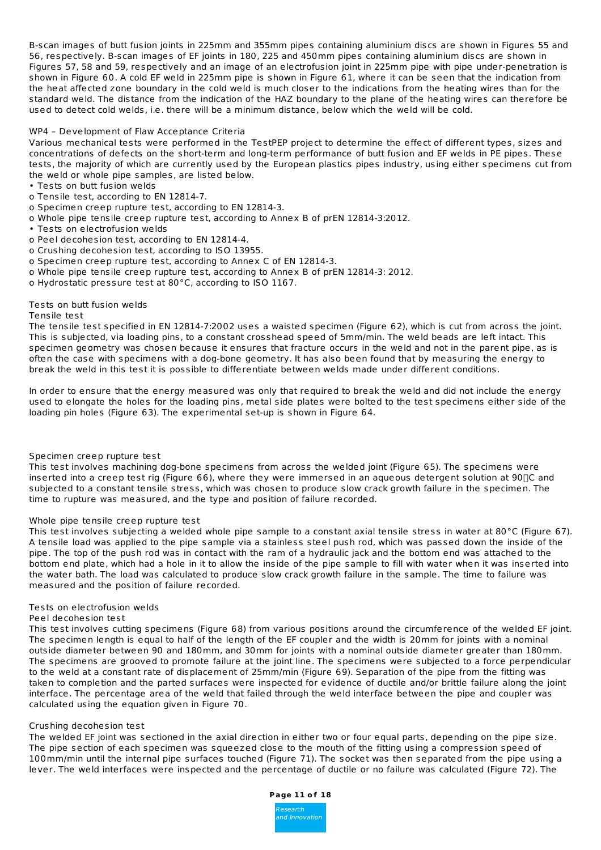B-scan images of butt fusion joints in 225mm and 355mm pipes containing aluminium discs are shown in Figures 55 and 56, respectively. B-scan images of EF joints in 180, 225 and 450mm pipes containing aluminium discs are shown in Figures 57, 58 and 59, respectively and an image of an electrofusion joint in 225mm pipe with pipe under-penetration is shown in Figure 60. A cold EF weld in 225mm pipe is shown in Figure 61, where it can be seen that the indication from the heat affected zone boundary in the cold weld is much closer to the indications from the heating wires than for the standard weld. The distance from the indication of the HAZ boundary to the plane of the heating wires can therefore be used to detect cold welds, i.e. there will be a minimum distance, below which the weld will be cold.

# WP4 – Development of Flaw Acceptance Criteria

Various mechanical tests were performed in the TestPEP project to determine the effect of different types, sizes and concentrations of defects on the short-term and long-term performance of butt fusion and EF welds in PE pipes. These tests, the majority of which are currently used by the European plastics pipes industry, using either specimens cut from the weld or whole pipe samples, are listed below.

• Tests on butt fusion welds

o Tensile test, according to EN 12814-7.

o Specimen creep rupture test, according to EN 12814-3.

- o Whole pipe tensile creep rupture test, according to Annex B of prEN 12814-3:2012.
- Tests on electrofusion welds
- o Peel decohesion test, according to EN 12814-4.
- o Crushing decohesion test, according to ISO 13955.
- o Specimen creep rupture test, according to Annex C of EN 12814-3.
- o Whole pipe tensile creep rupture test, according to Annex B of prEN 12814-3: 2012.

o Hydrostatic pressure test at 80°C, according to ISO 1167.

# Tests on butt fusion welds

#### Tensile test

The tensile test specified in EN 12814-7:2002 uses a waisted specimen (Figure 62), which is cut from across the joint. This is subjected, via loading pins, to a constant crosshead speed of 5mm/min. The weld beads are left intact. This specimen geometry was chosen because it ensures that fracture occurs in the weld and not in the parent pipe, as is often the case with specimens with a dog-bone geometry. It has also been found that by measuring the energy to break the weld in this test it is possible to differentiate between welds made under different conditions.

In order to ensure that the energy measured was only that required to break the weld and did not include the energy used to elongate the holes for the loading pins, metal side plates were bolted to the test specimens either side of the loading pin holes (Figure 63). The experimental set-up is shown in Figure 64.

#### Specimen creep rupture test

This test involves machining dog-bone specimens from across the welded joint (Figure 65). The specimens were inserted into a creep test rig (Figure 66), where they were immersed in an aqueous detergent solution at  $90\degree$ C and subjected to a constant tensile stress, which was chosen to produce slow crack growth failure in the specimen. The time to rupture was measured, and the type and position of failure recorded.

#### Whole pipe tensile creep rupture test

This test involves subjecting a welded whole pipe sample to a constant axial tensile stress in water at 80°C (Figure 67). A tensile load was applied to the pipe sample via a stainless steel push rod, which was passed down the inside of the pipe. The top of the push rod was in contact with the ram of a hydraulic jack and the bottom end was attached to the bottom end plate, which had a hole in it to allow the inside of the pipe sample to fill with water when it was inserted into the water bath. The load was calculated to produce slow crack growth failure in the sample. The time to failure was measured and the position of failure recorded.

#### Tests on electrofusion welds

#### Peel decohesion test

This test involves cutting specimens (Figure 68) from various positions around the circumference of the welded EF joint. The specimen length is equal to half of the length of the EF coupler and the width is 20mm for joints with a nominal outside diameter between 90 and 180mm, and 30mm for joints with a nominal outside diameter greater than 180mm. The specimens are grooved to promote failure at the joint line. The specimens were subjected to a force perpendicular to the weld at a constant rate of displacement of 25mm/min (Figure 69). Separation of the pipe from the fitting was taken to completion and the parted surfaces were inspected for evidence of ductile and/or brittle failure along the joint interface. The percentage area of the weld that failed through the weld interface between the pipe and coupler was calculated using the equation given in Figure 70.

# Crushing decohesion test

The welded EF joint was sectioned in the axial direction in either two or four equal parts, depending on the pipe size. The pipe section of each specimen was squeezed close to the mouth of the fitting using a compression speed of 100mm/min until the internal pipe surfaces touched (Figure 71). The socket was then separated from the pipe using a lever. The weld interfaces were inspected and the percentage of ductile or no failure was calculated (Figure 72). The

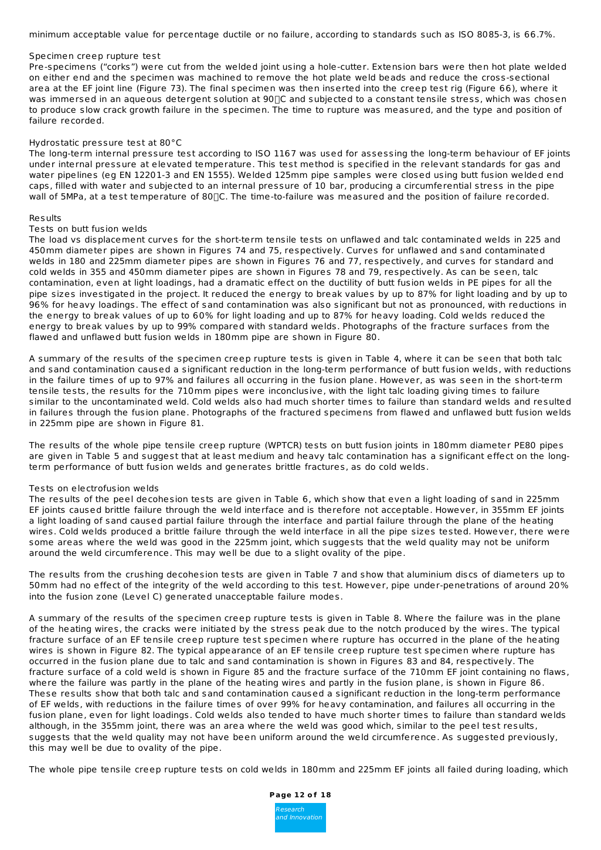minimum acceptable value for percentage ductile or no failure, according to standards such as ISO 8085-3, is 66.7%.

### Specimen creep rupture test

Pre-specimens ("corks") were cut from the welded joint using a hole-cutter. Extension bars were then hot plate welded on either end and the specimen was machined to remove the hot plate weld beads and reduce the cross-sectional area at the EF joint line (Figure 73). The final specimen was then inserted into the creep test rig (Figure 66), where it was immersed in an aqueous detergent solution at 90 TC and subjected to a constant tensile stress, which was chosen to produce slow crack growth failure in the specimen. The time to rupture was measured, and the type and position of failure recorded.

# Hydrostatic pressure test at 80°C

The long-term internal pressure test according to ISO 1167 was used for assessing the long-term behaviour of EF joints under internal pressure at elevated temperature. This test method is specified in the relevant standards for gas and water pipelines (eg EN 12201-3 and EN 1555). Welded 125mm pipe samples were closed using butt fusion welded end caps, filled with water and subjected to an internal pressure of 10 bar, producing a circumferential stress in the pipe wall of 5MPa, at a test temperature of 80 $\Box$ C. The time-to-failure was measured and the position of failure recorded.

#### Results

# Tests on butt fusion welds

The load vs displacement curves for the short-term tensile tests on unflawed and talc contaminated welds in 225 and 450mm diameter pipes are shown in Figures 74 and 75, respectively. Curves for unflawed and sand contaminated welds in 180 and 225mm diameter pipes are shown in Figures 76 and 77, respectively, and curves for standard and cold welds in 355 and 450mm diameter pipes are shown in Figures 78 and 79, respectively. As can be seen, talc contamination, even at light loadings, had a dramatic effect on the ductility of butt fusion welds in PE pipes for all the pipe sizes investigated in the project. It reduced the energy to break values by up to 87% for light loading and by up to 96% for heavy loadings. The effect of sand contamination was also significant but not as pronounced, with reductions in the energy to break values of up to 60% for light loading and up to 87% for heavy loading. Cold welds reduced the energy to break values by up to 99% compared with standard welds. Photographs of the fracture surfaces from the flawed and unflawed butt fusion welds in 180mm pipe are shown in Figure 80.

A summary of the results of the specimen creep rupture tests is given in Table 4, where it can be seen that both talc and sand contamination caused a significant reduction in the long-term performance of butt fusion welds, with reductions in the failure times of up to 97% and failures all occurring in the fusion plane. However, as was seen in the short-term tensile tests, the results for the 710mm pipes were inconclusive, with the light talc loading giving times to failure similar to the uncontaminated weld. Cold welds also had much shorter times to failure than standard welds and resulted in failures through the fusion plane. Photographs of the fractured specimens from flawed and unflawed butt fusion welds in 225mm pipe are shown in Figure 81.

The results of the whole pipe tensile creep rupture (WPTCR) tests on butt fusion joints in 180mm diameter PE80 pipes are given in Table 5 and suggest that at least medium and heavy talc contamination has a significant effect on the longterm performance of butt fusion welds and generates brittle fractures, as do cold welds.

# Tests on electrofusion welds

The results of the peel decohesion tests are given in Table 6, which show that even a light loading of sand in 225mm EF joints caused brittle failure through the weld interface and is therefore not acceptable. However, in 355mm EF joints a light loading of sand caused partial failure through the interface and partial failure through the plane of the heating wires. Cold welds produced a brittle failure through the weld interface in all the pipe sizes tested. However, there were some areas where the weld was good in the 225mm joint, which suggests that the weld quality may not be uniform around the weld circumference. This may well be due to a slight ovality of the pipe.

The results from the crushing decohesion tests are given in Table 7 and show that aluminium discs of diameters up to 50mm had no effect of the integrity of the weld according to this test. However, pipe under-penetrations of around 20% into the fusion zone (Level C) generated unacceptable failure modes.

A summary of the results of the specimen creep rupture tests is given in Table 8. Where the failure was in the plane of the heating wires, the cracks were initiated by the stress peak due to the notch produced by the wires. The typical fracture surface of an EF tensile creep rupture test specimen where rupture has occurred in the plane of the heating wires is shown in Figure 82. The typical appearance of an EF tensile creep rupture test specimen where rupture has occurred in the fusion plane due to talc and sand contamination is shown in Figures 83 and 84, respectively. The fracture surface of a cold weld is shown in Figure 85 and the fracture surface of the 710mm EF joint containing no flaws, where the failure was partly in the plane of the heating wires and partly in the fusion plane, is shown in Figure 86. These results show that both talc and sand contamination caused a significant reduction in the long-term performance of EF welds, with reductions in the failure times of over 99% for heavy contamination, and failures all occurring in the fusion plane, even for light loadings. Cold welds also tended to have much shorter times to failure than standard welds although, in the 355mm joint, there was an area where the weld was good which, similar to the peel test results, suggests that the weld quality may not have been uniform around the weld circumference. As suggested previously, this may well be due to ovality of the pipe.

The whole pipe tensile creep rupture tests on cold welds in 180mm and 225mm EF joints all failed during loading, which

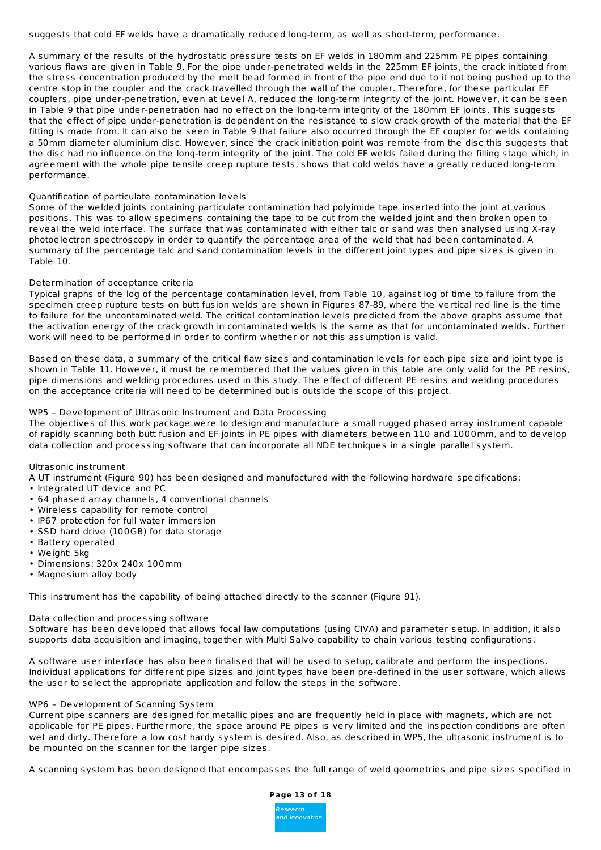suggests that cold EF welds have a dramatically reduced long-term, as well as short-term, performance.

A summary of the results of the hydrostatic pressure tests on EF welds in 180mm and 225mm PE pipes containing various flaws are given in Table 9. For the pipe under-penetrated welds in the 225mm EF joints, the crack initiated from the stress concentration produced by the melt bead formed in front of the pipe end due to it not being pushed up to the centre stop in the coupler and the crack travelled through the wall of the coupler. Therefore, for these particular EF couplers, pipe under-penetration, even at Level A, reduced the long-term integrity of the joint. However, it can be seen in Table 9 that pipe under-penetration had no effect on the long-term integrity of the 180mm EF joints. This suggests that the effect of pipe under-penetration is dependent on the resistance to slow crack growth of the material that the EF fitting is made from. It can also be seen in Table 9 that failure also occurred through the EF coupler for welds containing a 50mm diameter aluminium disc. However, since the crack initiation point was remote from the disc this suggests that the disc had no influence on the long-term integrity of the joint. The cold EF welds failed during the filling stage which, in agreement with the whole pipe tensile creep rupture tests, shows that cold welds have a greatly reduced long-term performance.

# Quantification of particulate contamination levels

Some of the welded joints containing particulate contamination had polyimide tape inserted into the joint at various positions. This was to allow specimens containing the tape to be cut from the welded joint and then broken open to reveal the weld interface. The surface that was contaminated with either talc or sand was then analysed using X-ray photoelectron spectroscopy in order to quantify the percentage area of the weld that had been contaminated. A summary of the percentage talc and sand contamination levels in the different joint types and pipe sizes is given in Table 10.

# Determination of acceptance criteria

Typical graphs of the log of the percentage contamination level, from Table 10, against log of time to failure from the specimen creep rupture tests on butt fusion welds are shown in Figures 87-89, where the vertical red line is the time to failure for the uncontaminated weld. The critical contamination levels predicted from the above graphs assume that the activation energy of the crack growth in contaminated welds is the same as that for uncontaminated welds. Further work will need to be performed in order to confirm whether or not this assumption is valid.

Based on these data, a summary of the critical flaw sizes and contamination levels for each pipe size and joint type is shown in Table 11. However, it must be remembered that the values given in this table are only valid for the PE resins, pipe dimensions and welding procedures used in this study. The effect of different PE resins and welding procedures on the acceptance criteria will need to be determined but is outside the scope of this project.

# WP5 – Development of Ultrasonic Instrument and Data Processing

The objectives of this work package were to design and manufacture a small rugged phased array instrument capable of rapidly scanning both butt fusion and EF joints in PE pipes with diameters between 110 and 1000mm, and to develop data collection and processing software that can incorporate all NDE techniques in a single parallel system.

Ultrasonic instrument

- A UT instrument (Figure 90) has been designed and manufactured with the following hardware specifications:
- Integrated UT device and PC
- 64 phased array channels, 4 conventional channels
- Wireless capability for remote control
- IP67 protection for full water immersion
- SSD hard drive (100GB) for data storage
- Battery operated
- Weight: 5kg
- Dimensions: 320x 240x 100mm
- Magnesium alloy body

This instrument has the capability of being attached directly to the scanner (Figure 91).

# Data collection and processing software

Software has been developed that allows focal law computations (using CIVA) and parameter setup. In addition, it also supports data acquisition and imaging, together with Multi Salvo capability to chain various testing configurations.

A software user interface has also been finalised that will be used to setup, calibrate and perform the inspections. Individual applications for different pipe sizes and joint types have been pre-defined in the user software, which allows the user to select the appropriate application and follow the steps in the software.

# WP6 – Development of Scanning System

Current pipe scanners are designed for metallic pipes and are frequently held in place with magnets, which are not applicable for PE pipes. Furthermore, the space around PE pipes is very limited and the inspection conditions are often wet and dirty. Therefore a low cost hardy system is desired. Also, as described in WP5, the ultrasonic instrument is to be mounted on the scanner for the larger pipe sizes.

A scanning system has been designed that encompasses the full range of weld geometries and pipe sizes specified in

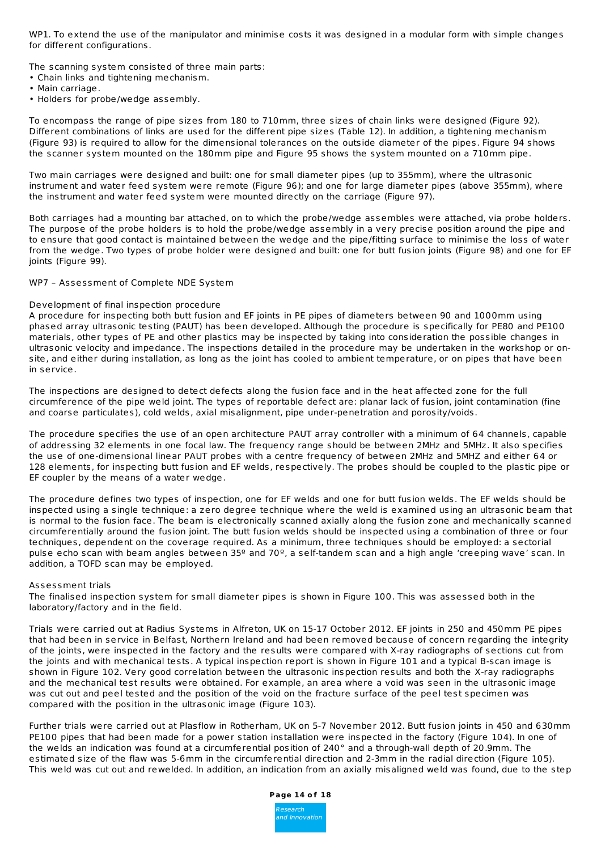WP1. To extend the use of the manipulator and minimise costs it was designed in a modular form with simple changes for different configurations.

The scanning system consisted of three main parts:

- Chain links and tightening mechanism.
- Main carriage.
- Holders for probe/wedge assembly.

To encompass the range of pipe sizes from 180 to 710mm, three sizes of chain links were designed (Figure 92). Different combinations of links are used for the different pipe sizes (Table 12). In addition, a tightening mechanism (Figure 93) is required to allow for the dimensional tolerances on the outside diameter of the pipes. Figure 94 shows the scanner system mounted on the 180mm pipe and Figure 95 shows the system mounted on a 710mm pipe.

Two main carriages were designed and built: one for small diameter pipes (up to 355mm), where the ultrasonic instrument and water feed system were remote (Figure 96); and one for large diameter pipes (above 355mm), where the instrument and water feed system were mounted directly on the carriage (Figure 97).

Both carriages had a mounting bar attached, on to which the probe/wedge assembles were attached, via probe holders. The purpose of the probe holders is to hold the probe/wedge assembly in a very precise position around the pipe and to ensure that good contact is maintained between the wedge and the pipe/fitting surface to minimise the loss of water from the wedge. Two types of probe holder were designed and built: one for butt fusion joints (Figure 98) and one for EF ioints (Figure 99).

# WP7 – Assessment of Complete NDE System

# Development of final inspection procedure

A procedure for inspecting both butt fusion and EF joints in PE pipes of diameters between 90 and 1000mm using phased array ultrasonic testing (PAUT) has been developed. Although the procedure is specifically for PE80 and PE100 materials, other types of PE and other plastics may be inspected by taking into consideration the possible changes in ultrasonic velocity and impedance. The inspections detailed in the procedure may be undertaken in the workshop or onsite, and either during installation, as long as the joint has cooled to ambient temperature, or on pipes that have been in service.

The inspections are designed to detect defects along the fusion face and in the heat affected zone for the full circumference of the pipe weld joint. The types of reportable defect are: planar lack of fusion, joint contamination (fine and coarse particulates), cold welds, axial misalignment, pipe under-penetration and porosity/voids.

The procedure specifies the use of an open architecture PAUT array controller with a minimum of 64 channels, capable of addressing 32 elements in one focal law. The frequency range should be between 2MHz and 5MHz. It also specifies the use of one-dimensional linear PAUT probes with a centre frequency of between 2MHz and 5MHZ and either 64 or 128 elements, for inspecting butt fusion and EF welds, respectively. The probes should be coupled to the plastic pipe or EF coupler by the means of a water wedge.

The procedure defines two types of inspection, one for EF welds and one for butt fusion welds. The EF welds should be inspected using a single technique: a zero degree technique where the weld is examined using an ultrasonic beam that is normal to the fusion face. The beam is electronically scanned axially along the fusion zone and mechanically scanned circumferentially around the fusion joint. The butt fusion welds should be inspected using a combination of three or four techniques, dependent on the coverage required. As a minimum, three techniques should be employed: a sectorial pulse echo scan with beam angles between 35º and 70º, a self-tandem scan and a high angle 'creeping wave' scan. In addition, a TOFD scan may be employed.

# Assessment trials

The finalised inspection system for small diameter pipes is shown in Figure 100. This was assessed both in the laboratory/factory and in the field.

Trials were carried out at Radius Systems in Alfreton, UK on 15-17 October 2012. EF joints in 250 and 450mm PE pipes that had been in service in Belfast, Northern Ireland and had been removed because of concern regarding the integrity of the joints, were inspected in the factory and the results were compared with X-ray radiographs of sections cut from the joints and with mechanical tests. A typical inspection report is shown in Figure 101 and a typical B-scan image is shown in Figure 102. Very good correlation between the ultrasonic inspection results and both the X-ray radiographs and the mechanical test results were obtained. For example, an area where a void was seen in the ultrasonic image was cut out and peel tested and the position of the void on the fracture surface of the peel test specimen was compared with the position in the ultrasonic image (Figure 103).

Further trials were carried out at Plasflow in Rotherham, UK on 5-7 November 2012. Butt fusion joints in 450 and 630mm PE100 pipes that had been made for a power station installation were inspected in the factory (Figure 104). In one of the welds an indication was found at a circumferential position of 240° and a through-wall depth of 20.9mm. The estimated size of the flaw was 5-6mm in the circumferential direction and 2-3mm in the radial direction (Figure 105). This weld was cut out and rewelded. In addition, an indication from an axially misaligned weld was found, due to the step

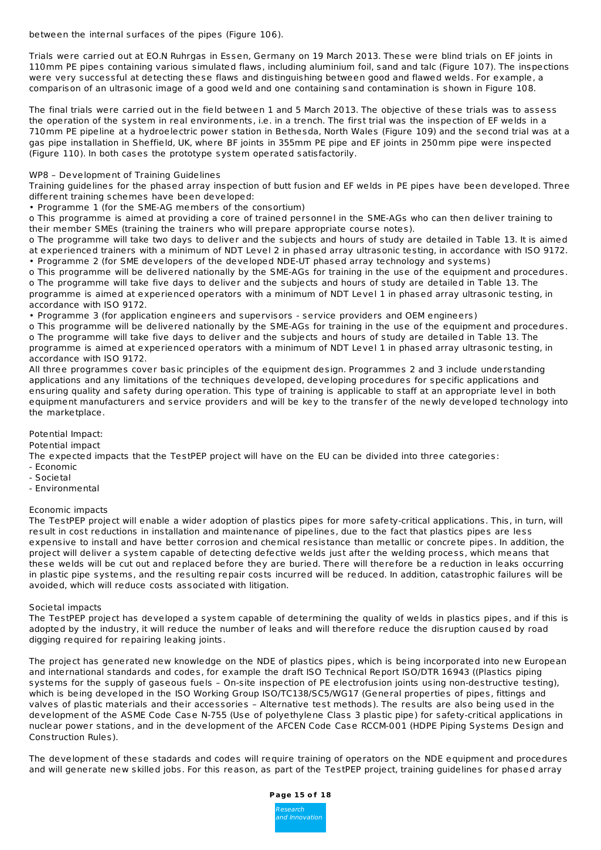between the internal surfaces of the pipes (Figure 106).

Trials were carried out at EO.N Ruhrgas in Essen, Germany on 19 March 2013. These were blind trials on EF joints in 110mm PE pipes containing various simulated flaws, including aluminium foil, sand and talc (Figure 107). The inspections were very successful at detecting these flaws and distinguishing between good and flawed welds. For example, a comparison of an ultrasonic image of a good weld and one containing sand contamination is shown in Figure 108.

The final trials were carried out in the field between 1 and 5 March 2013. The objective of these trials was to assess the operation of the system in real environments, i.e. in a trench. The first trial was the inspection of EF welds in a 710mm PE pipeline at a hydroelectric power station in Bethesda, North Wales (Figure 109) and the second trial was at a gas pipe installation in Sheffield, UK, where BF joints in 355mm PE pipe and EF joints in 250mm pipe were inspected (Figure 110). In both cases the prototype system operated satisfactorily.

WP8 – Development of Training Guidelines

Training guidelines for the phased array inspection of butt fusion and EF welds in PE pipes have been developed. Three different training schemes have been developed:

• Programme 1 (for the SME-AG members of the consortium)

o This programme is aimed at providing a core of trained personnel in the SME-AGs who can then deliver training to their member SMEs (training the trainers who will prepare appropriate course notes).

o The programme will take two days to deliver and the subjects and hours of study are detailed in Table 13. It is aimed at experienced trainers with a minimum of NDT Level 2 in phased array ultrasonic testing, in accordance with ISO 9172. • Programme 2 (for SME developers of the developed NDE-UT phased array technology and systems)

o This programme will be delivered nationally by the SME-AGs for training in the use of the equipment and procedures. o The programme will take five days to deliver and the subjects and hours of study are detailed in Table 13. The programme is aimed at experienced operators with a minimum of NDT Level 1 in phased array ultrasonic testing, in accordance with ISO 9172.

• Programme 3 (for application engineers and supervisors - service providers and OEM engineers)

o This programme will be delivered nationally by the SME-AGs for training in the use of the equipment and procedures. o The programme will take five days to deliver and the subjects and hours of study are detailed in Table 13. The programme is aimed at experienced operators with a minimum of NDT Level 1 in phased array ultrasonic testing, in accordance with ISO 9172.

All three programmes cover basic principles of the equipment design. Programmes 2 and 3 include understanding applications and any limitations of the techniques developed, developing procedures for specific applications and ensuring quality and safety during operation. This type of training is applicable to staff at an appropriate level in both equipment manufacturers and service providers and will be key to the transfer of the newly developed technology into the marketplace.

Potential Impact:

Potential impact

The expected impacts that the TestPEP project will have on the EU can be divided into three categories:

- Economic
- Societal
- Environmental

# Economic impacts

The TestPEP project will enable a wider adoption of plastics pipes for more safety-critical applications. This, in turn, will result in cost reductions in installation and maintenance of pipelines, due to the fact that plastics pipes are less expensive to install and have better corrosion and chemical resistance than metallic or concrete pipes. In addition, the project will deliver a system capable of detecting defective welds just after the welding process, which means that these welds will be cut out and replaced before they are buried. There will therefore be a reduction in leaks occurring in plastic pipe systems, and the resulting repair costs incurred will be reduced. In addition, catastrophic failures will be avoided, which will reduce costs associated with litigation.

# Societal impacts

The TestPEP project has developed a system capable of determining the quality of welds in plastics pipes, and if this is adopted by the industry, it will reduce the number of leaks and will therefore reduce the disruption caused by road digging required for repairing leaking joints.

The project has generated new knowledge on the NDE of plastics pipes, which is being incorporated into new European and international standards and codes, for example the draft ISO Technical Report ISO/DTR 16943 ((Plastics piping systems for the supply of gaseous fuels - On-site inspection of PE electrofusion joints using non-destructive testing), which is being developed in the ISO Working Group ISO/TC138/SC5/WG17 (General properties of pipes, fittings and valves of plastic materials and their accessories – Alternative test methods). The results are also being used in the development of the ASME Code Case N-755 (Use of polyethylene Class 3 plastic pipe) for safety-critical applications in nuclear power stations, and in the development of the AFCEN Code Case RCCM-001 (HDPE Piping Systems Design and Construction Rules).

The development of these stadards and codes will require training of operators on the NDE equipment and procedures and will generate new skilled jobs. For this reason, as part of the TestPEP project, training guidelines for phased array

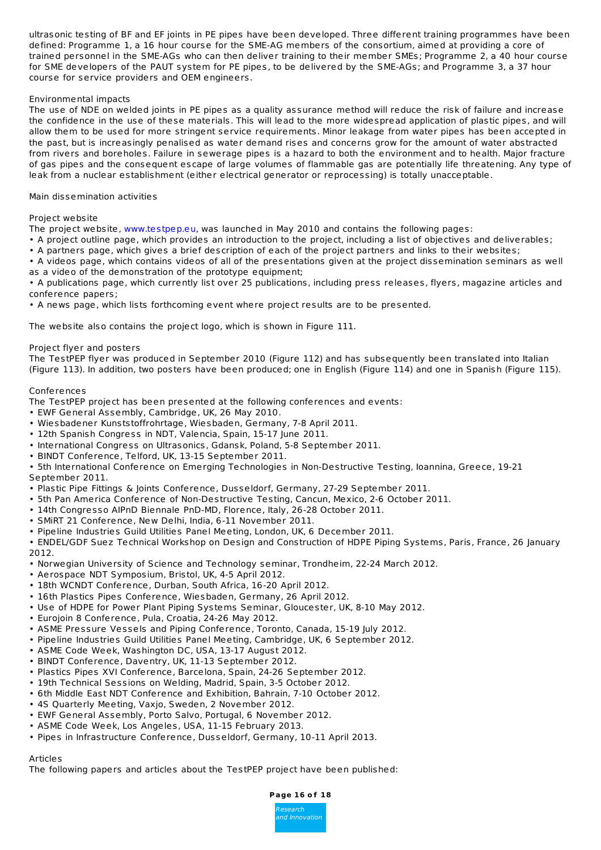ultrasonic testing of BF and EF joints in PE pipes have been developed. Three different training programmes have been defined: Programme 1, a 16 hour course for the SME-AG members of the consortium, aimed at providing a core of trained personnel in the SME-AGs who can then deliver training to their member SMEs; Programme 2, a 40 hour course for SME developers of the PAUT system for PE pipes, to be delivered by the SME-AGs; and Programme 3, a 37 hour course for service providers and OEM engineers.

# Environmental impacts

The use of NDE on welded joints in PE pipes as a quality assurance method will reduce the risk of failure and increase the confidence in the use of these materials. This will lead to the more widespread application of plastic pipes, and will allow them to be used for more stringent service requirements. Minor leakage from water pipes has been accepted in the past, but is increasingly penalised as water demand rises and concerns grow for the amount of water abstracted from rivers and boreholes. Failure in sewerage pipes is a hazard to both the environment and to health. Major fracture of gas pipes and the consequent escape of large volumes of flammable gas are potentially life threatening. Any type of leak from a nuclear establishment (either electrical generator or reprocessing) is totally unacceptable.

# Main dissemination activities

# Project website

The project website, [www.testpep.eu](http://www.testpep.eu), was launched in May 2010 and contains the following pages:

- A project outline page, which provides an introduction to the project, including a list of objectives and deliverables; • A partners page, which gives a brief description of each of the project partners and links to their websites;
- A videos page, which contains videos of all of the presentations given at the project dissemination seminars as well as a video of the demonstration of the prototype equipment;

• A publications page, which currently list over 25 publications, including press releases, flyers, magazine articles and conference papers;

• A news page, which lists forthcoming event where project results are to be presented.

The website also contains the project logo, which is shown in Figure 111.

# Project flyer and posters

The TestPEP flyer was produced in September 2010 (Figure 112) and has subsequently been translated into Italian (Figure 113). In addition, two posters have been produced; one in English (Figure 114) and one in Spanish (Figure 115).

# Conferences

The TestPEP project has been presented at the following conferences and events:

- EWF General Assembly, Cambridge, UK, 26 May 2010.
- Wiesbadener Kunststoffrohrtage, Wiesbaden, Germany, 7-8 April 2011.
- 12th Spanish Congress in NDT, Valencia, Spain, 15-17 June 2011.
- International Congress on Ultrasonics, Gdansk, Poland, 5-8 September 2011.
- BINDT Conference, Telford, UK, 13-15 September 2011.
- 5th International Conference on Emerging Technologies in Non-Destructive Testing, Ioannina, Greece, 19-21 September 2011.
- Plastic Pipe Fittings & Joints Conference, Dusseldorf, Germany, 27-29 September 2011.
- 5th Pan America Conference of Non-Destructive Testing, Cancun, Mexico, 2-6 October 2011.
- 14th Congresso AIPnD Biennale PnD-MD, Florence, Italy, 26-28 October 2011.
- SMiRT 21 Conference, New Delhi, India, 6-11 November 2011.
- Pipeline Industries Guild Utilities Panel Meeting, London, UK, 6 December 2011.
- ENDEL/GDF Suez Technical Workshop on Design and Construction of HDPE Piping Systems, Paris, France, 26 January 2012.
- Norwegian University of Science and Technology seminar, Trondheim, 22-24 March 2012.
- Aerospace NDT Symposium, Bristol, UK, 4-5 April 2012.
- 18th WCNDT Conference, Durban, South Africa, 16-20 April 2012.
- 16th Plastics Pipes Conference, Wiesbaden, Germany, 26 April 2012.
- Use of HDPE for Power Plant Piping Systems Seminar, Gloucester, UK, 8-10 May 2012.
- Eurojoin 8 Conference, Pula, Croatia, 24-26 May 2012.
- ASME Pressure Vessels and Piping Conference, Toronto, Canada, 15-19 July 2012.
- Pipeline Industries Guild Utilities Panel Meeting, Cambridge, UK, 6 September 2012.
- ASME Code Week, Washington DC, USA, 13-17 August 2012.
- BINDT Conference, Daventry, UK, 11-13 September 2012.
- Plastics Pipes XVI Conference, Barcelona, Spain, 24-26 September 2012.
- 19th Technical Sessions on Welding, Madrid, Spain, 3-5 October 2012.
- 6th Middle East NDT Conference and Exhibition, Bahrain, 7-10 October 2012.
- 4S Quarterly Meeting, Vaxjo, Sweden, 2 November 2012.
- EWF General Assembly, Porto Salvo, Portugal, 6 November 2012.
- ASME Code Week, Los Angeles, USA, 11-15 February 2013.
- Pipes in Infrastructure Conference, Dusseldorf, Germany, 10-11 April 2013.

# Articles

The following papers and articles about the TestPEP project have been published:

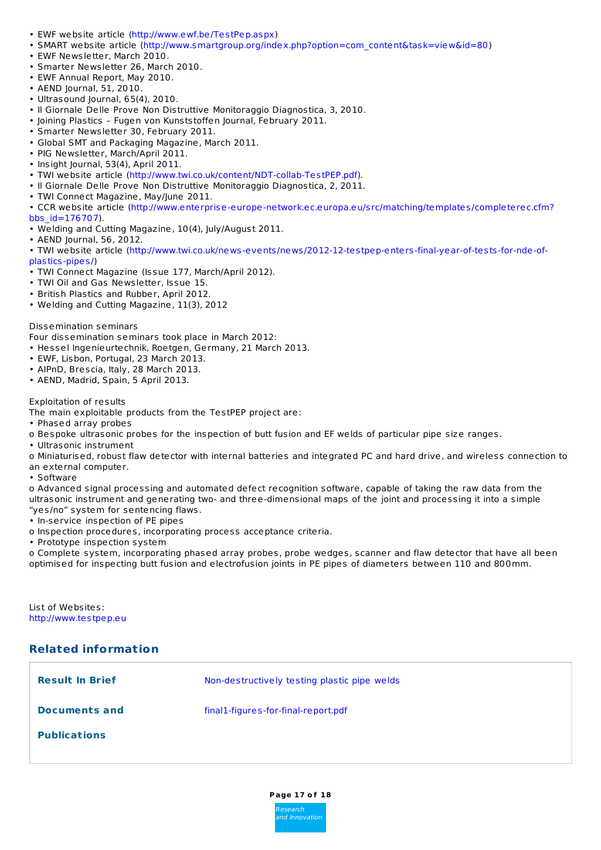- EWF website article [\(http://www.ewf.be/TestPep.aspx](http://www.ewf.be/TestPep.aspx))
- SMART website article [\(http://www.smartgroup.org/index.php?option=com\\_content&task=view&id=80](http://www.smartgroup.org/index.php?option=com_content&task=view&id=80))
- EWF Newsletter, March 2010.
- Smarter Newsletter 26, March 2010.
- EWF Annual Report, May 2010.
- AEND Journal, 51, 2010.
- Ultrasound Journal, 65(4), 2010.
- Il Giornale Delle Prove Non Distruttive Monitoraggio Diagnostica, 3, 2010.
- Joining Plastics Fugen von Kunststoffen Journal, February 2011.
- Smarter Newsletter 30, February 2011.
- Global SMT and Packaging Magazine, March 2011.
- PIG Newsletter, March/April 2011.
- Insight Journal, 53(4), April 2011.
- TWI website article [\(http://www.twi.co.uk/content/NDT-collab-TestPEP.pdf](http://www.twi.co.uk/content/NDT-collab-TestPEP.pdf)).
- Il Giornale Delle Prove Non Distruttive Monitoraggio Diagnostica, 2, 2011.
- TWI Connect Magazine, May/June 2011.
- CCR website article [\(http://www.enterprise-europe-network.ec.europa.eu/src/matching/templates/completerec.cfm?](http://www.enterprise-europe-network.ec.europa.eu/src/matching/templates/completerec.cfm?bbs_id=176707) bbs\_id=176707).
- Welding and Cutting Magazine, 10(4), July/August 2011.
- AEND Journal, 56, 2012.
- TWI website article [\(http://www.twi.co.uk/news-events/news/2012-12-testpep-enters-final-year-of-tests-for-nde-of](http://www.twi.co.uk/news-events/news/2012-12-testpep-enters-final-year-of-tests-for-nde-of-plastics-pipes/)plastics-pipes/)
- TWI Connect Magazine (Issue 177, March/April 2012).
- TWI Oil and Gas Newsletter, Issue 15.
- British Plastics and Rubber, April 2012.
- Welding and Cutting Magazine, 11(3), 2012

# Dissemination seminars

Four dissemination seminars took place in March 2012:

- Hessel Ingenieurtechnik, Roetgen, Germany, 21 March 2013.
- EWF, Lisbon, Portugal, 23 March 2013.
- AIPnD, Brescia, Italy, 28 March 2013.
- AEND, Madrid, Spain, 5 April 2013.

# Exploitation of results

The main exploitable products from the TestPEP project are:

- Phased array probes
- o Bespoke ultrasonic probes for the inspection of butt fusion and EF welds of particular pipe size ranges.
- Ultrasonic instrument

o Miniaturised, robust flaw detector with internal batteries and integrated PC and hard drive, and wireless connection to an external computer.

• Software

o Advanced signal processing and automated defect recognition software, capable of taking the raw data from the ultrasonic instrument and generating two- and three-dimensional maps of the joint and processing it into a simple "yes/no" system for sentencing flaws.

- In-service inspection of PE pipes
- o Inspection procedures, incorporating process acceptance criteria.
- Prototype inspection system

o Complete system, incorporating phased array probes, probe wedges, scanner and flaw detector that have all been optimised for inspecting butt fusion and electrofusion joints in PE pipes of diameters between 110 and 800mm.

List of Websites: <http://www.testpep.eu>

# **Related information**

| <b>Result In Brief</b> | Non-destructively testing plastic pipe welds |
|------------------------|----------------------------------------------|
| Documents and          | final1-figures-for-final-report.pdf          |
| <b>Publications</b>    |                                              |